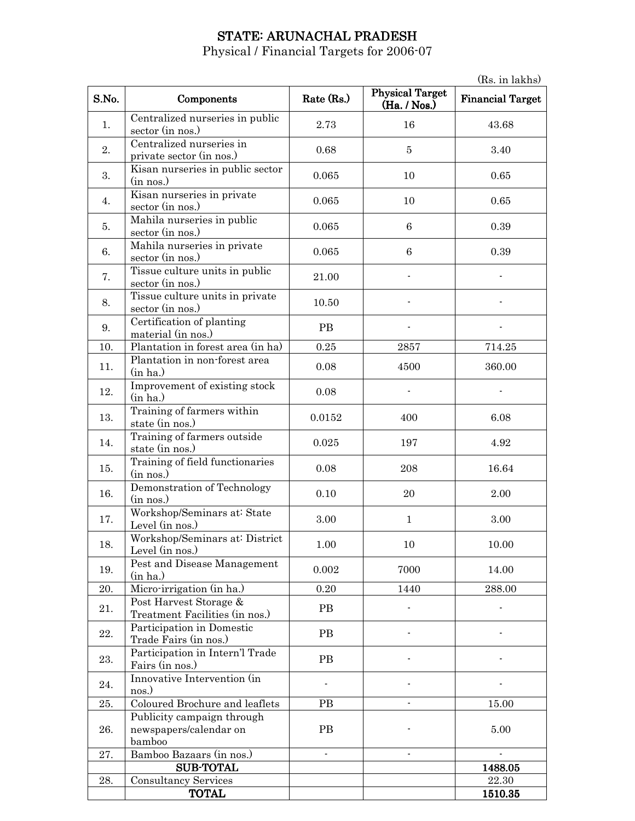# STATE: ARUNACHAL PRADESH

Physical / Financial Targets for 2006-07

(Rs. in lakhs) S.No. Components Rate (Rs.) Physical Target  $(Ha. / Nos.)$ Financial Target 1. Centralized nurseries in public sector (in nos.)  $2.73$  16 43.68 2. Centralized nurseries in private sector (in nos.) 0.68 5 3.40 3. Kisan nurseries in public sector<br>(in nos.)  $\frac{1}{2}$  (in nos.) 0.065 10 0.65 4. Kisan nurseries in private sector (in nos.) 0.065 10 0.065 10 0.65  $\overline{5}$ . Mahila nurseries in public sector (in nos.)  $0.065$  6 0.39 6. Mahila nurseries in private  $\frac{1}{2}$   $\frac{1}{2}$   $\frac{1}{2}$   $\frac{1}{2}$   $\frac{1}{2}$   $\frac{1}{2}$   $\frac{1}{2}$   $\frac{1}{2}$   $\frac{1}{2}$   $\frac{1}{2}$   $\frac{1}{2}$   $\frac{1}{2}$   $\frac{1}{2}$   $\frac{1}{2}$   $\frac{1}{2}$   $\frac{1}{2}$   $\frac{1}{2}$   $\frac{1}{2}$   $\frac{1}{2}$   $\frac{1}{2}$   $\frac{1}{2}$   $\frac{1}{2}$  7. Tissue culture units in public sector (in nos.) 21.00 8. Tissue culture units in private sector (in nos.) 10.50 - -  $\overline{9}$ . Certification of planting material (in nos.) PB - - 10. Plantation in forest area (in ha)  $\begin{array}{|c|c|c|c|c|c|c|c|c|} \hline 0.25 & 2857 & 714.25 \ \hline \end{array}$ 11. Plantation in non-forest area<br>(in ha.)  $\frac{1}{2}$  antation in non-forest area  $\frac{0.08}{4500}$  1500 360.00 12. Improvement of existing stock<br>(in ha.)  $(n \text{ had})$  0.08  $(n \text{ had})$  -13. Training of farmers within state (in nos.) 6.08 14. Training of farmers outside state (in nos.) 6.025 197 4.92 15.  $\int \frac{\text{Training of field functionaries}}{\text{(in nos.)}}$  $\frac{1}{208}$  (in nos.)  $\frac{16.64}{208}$ 16. Demonstration of Technology  $\lim_{n \to \infty}$ (in nos.) 0.10 20 2.00 17. Workshop/Seminars at: State Norkshop/Seminars at State 3.00 1 3.00<br>Level (in nos.) 3.00 18. Workshop/Seminars at: District Level (in nos.) 1.00 10 10.00 19. **Pest and Disease Management** (in ha.) Test and Disease Management  $0.002$  7000 14.00 20. | Micro-irrigation (in ha.)  $\vert$  0.20 | 1440 | 288.00 21. Post Harvest Storage & POST HATVEST STOTAGE  $\alpha$ <br>Treatment Facilities (in nos.) 22. Participation in Domestic Trade Fairs (in nos.)<br>Trade Fairs (in nos.) 23. Participation in Intern'l Trade Fairs (in nos.) Fairs (in nos.) 24. Innovative Intervention (in  $\cos \theta$ )  $\sum_{n=1}^{\infty}$  -  $\sum_{n=1}^{\infty}$  -  $\sum_{n=1}^{\infty}$  -  $\sum_{n=1}^{\infty}$  -  $\sum_{n=1}^{\infty}$  -  $\sum_{n=1}^{\infty}$  -  $\sum_{n=1}^{\infty}$  -  $\sum_{n=1}^{\infty}$  -  $\sum_{n=1}^{\infty}$  -  $\sum_{n=1}^{\infty}$  -  $\sum_{n=1}^{\infty}$  -  $\sum_{n=1}^{\infty}$  -  $\sum_{n=1}^{\infty}$  - 25. Coloured Brochure and leaflets PB  $\vert$  - 15.00 26. Publicity campaign through newspapers/calendar on bamboo PB | 5.00 27. Bamboo Bazaars (in nos.) SUB-TOTAL 1488.05 28. Consultancy Services 22.30 | 1510.35 1510.35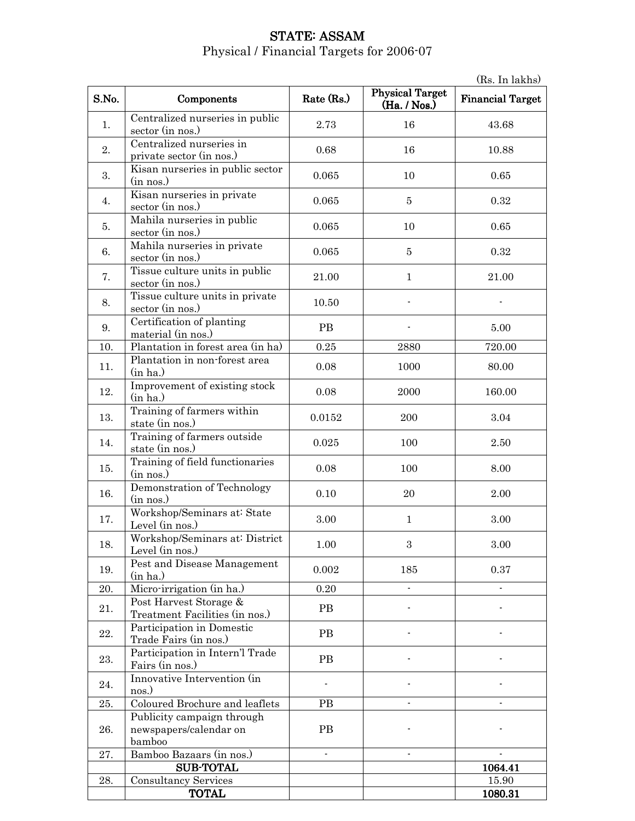#### **STATE: ASSAM** Physical / Financial Targets for 2006-07

(Rs. In lakhs) S.No. Components Rate (Rs.) Physical Target  $(Ha. / Nos.)$ Financial Target 1. Centralized nurseries in public sector (in nos.)  $2.73$  16 43.68 2. Centralized nurseries in private sector (in nos.) 0.68 16 16 10.88 3. Kisan nurseries in public sector<br>(in nos.)  $\frac{1}{2}$  (in nos.) 0.065 10 0.65 4. Kisan nurseries in private  $\frac{1}{2}$  Sector (in nos.) 0.065  $\frac{5}{2}$  0.32  $\overline{5}$ . Mahila nurseries in public sector (in nos.)  $0.065$  10 0.65 6. Mahila nurseries in private  $\frac{1}{2}$  sector (in nos.) 0.065  $\frac{1}{2}$  5 0.32 7. Tissue culture units in public sector (in nos.) 21.00 1 21.00 8. Tissue culture units in private sector (in nos.) 10.50 - -  $\overline{9}$ . Certification of planting PB - 5.00<br>material (in nos.) PB - 5.00 10. Plantation in forest area (in ha) 0.25 2880 720.00 11. Plantation in non-forest area<br>(in ha.)  $\frac{1}{\ln \text{halo}}$  (in ha.) 0.08 1000 80.00 12. Improvement of existing stock<br>(in ha.)  $\frac{160.00}{\text{ (in ha.)}}$  0.08 2000 160.00 13. Training of farmers within state (in nos.) 17aining of tarmers within  $0.0152$  200 3.04 14. Training of farmers outside state (in nos.) 0.025 100 2.50 15.  $\int \frac{\text{Training of field functionaries}}{\text{(in nos.)}}$  $\frac{1}{2}$  (in nos.)  $\frac{1}{2}$  (in nos.)  $\frac{1}{2}$  (in nos.)  $\frac{1}{2}$  (in nos.) 16. Demonstration of Technology 0.10 20 2.00 17. Workshop/Seminars at: State Norkshop/Seminars at State 3.00 1 3.00<br>Level (in nos.) 3.00 18. Workshop/Seminars at: District Level (in nos.) 1.00 3 3.00 19. **Pest and Disease Management** (in ha.)  $( \text{in ha.})$  0.002 185 0.37 20. Micro-irrigation (in ha.)  $0.20$  -  $\qquad \qquad$ 21. **Post Harvest Storage &** Treatment Facilities (in nos.) PB - - 22. Participation in Domestic Trade Fairs (in nos.)<br>Trade Fairs (in nos.)  $\begin{array}{c|c}\n\text{23.} & \text{Participation in Intern'} \text{Trade}\n\end{array}$ Fairs (in nos.) Fairs (in nos.) 24. Innovative Intervention (in  $\cos \theta$ )  $\sum_{n=1}^{\infty}$  -  $\sum_{n=1}^{\infty}$  -  $\sum_{n=1}^{\infty}$  -  $\sum_{n=1}^{\infty}$  -  $\sum_{n=1}^{\infty}$  -  $\sum_{n=1}^{\infty}$  -  $\sum_{n=1}^{\infty}$  -  $\sum_{n=1}^{\infty}$  -  $\sum_{n=1}^{\infty}$  -  $\sum_{n=1}^{\infty}$  -  $\sum_{n=1}^{\infty}$  -  $\sum_{n=1}^{\infty}$  -  $\sum_{n=1}^{\infty}$  - 25. Coloured Brochure and leaflets PB - - 26. Publicity campaign through newspapers/calendar on bamboo PB | - | -27. Bamboo Bazaars (in nos.) and the set of the Bamboo Bazaars (in nos.) SUB-TOTAL  $\vert$  1064.41 28. Consultancy Services 15.90 | 1080.31 | 1080.31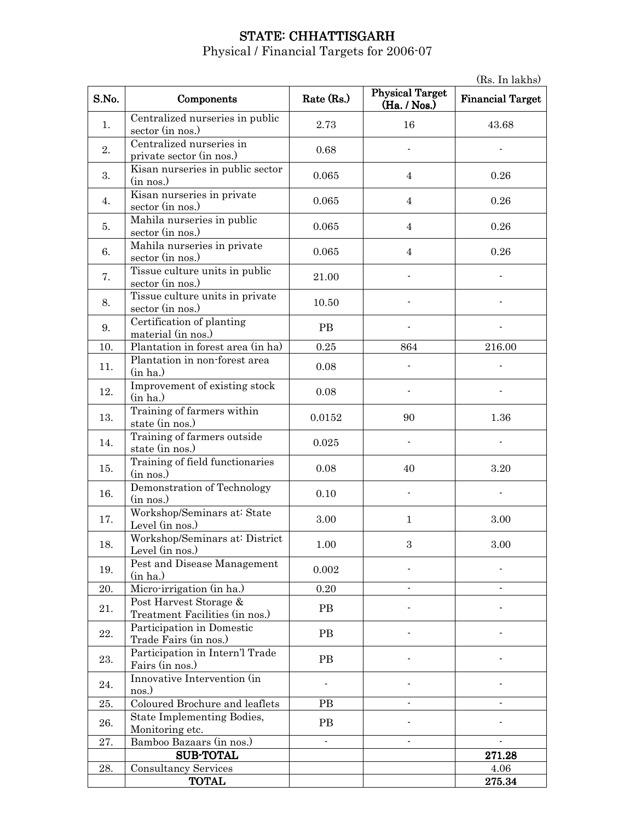### STATE: CHHATTISGARH

Physical / Financial Targets for 2006-07

(Rs. In lakhs) S.No. Components Rate (Rs.) Physical Target  $(Ha. / Nos.)$ Financial Target 1. Centralized nurseries in public sector (in nos.)  $2.73$  16 43.68 2. Centralized nurseries in Private sector (in nos.) and the contrast of the contrast of the contrast of the contrast of the contrast of the contrast of the contrast of the contrast of the contrast of the contrast of the contrast of the contrast of t 3. Kisan nurseries in public sector<br>(in nos.)  $\frac{1}{2}$  (in nos.) 0.065 4 0.26 4. Kisan nurseries in private sector (in nos.) 10.065 and 10.065 and 10.26  $\overline{5}$ . Mahila nurseries in public sector (in nos.)  $0.065$  4 0.26 6. Mahila nurseries in private  $\frac{1}{2}$  sector (in nos.) 0.065 4 0.26 7. Tissue culture units in public sector (in nos.) 21.00 8. Tissue culture units in private sector (in nos.) 10.50 - -  $\overline{9}$ . Certification of planting material (in nos.) PB - - 10. Plantation in forest area (in ha) 0.25 864 216.00 11. Plantation in non-forest area<br>(in ha.)  $\frac{1}{\ln \text{ha.}}$  (in ha.) 12. Improvement of existing stock<br>(in ha.)  $(n \text{ had})$  0.08  $(n \text{ had})$  -13. Training of farmers within state (in nos.) 1.36 14. Training of farmers outside state (in nos.) 178 a.m. in the contract of the state (in nos.) 15.  $\begin{bmatrix} \text{Training of field functionaries} \\ \text{(in nos.)} \end{bmatrix}$  $\frac{1}{2}$  (in nos.)  $\frac{3.20}{2}$ 16. Demonstration of Technology (in nos.) 0.10 - - 17. Workshop/Seminars at: State WORKSHOP/Seminars at State<br>Level (in nos.) 3.00 1 3.00 18. Workshop/Seminars at: District Level (in nos.) 1.00 3 3.00 19. **Pest and Disease Management** (in ha.)  $( \text{in ha.})$  0.002  $\qquad$  -  $\qquad$ 20. Micro-irrigation (in ha.)  $0.20$  -  $\qquad \qquad$ 21. **Post Harvest Storage &** Treatment Facilities (in nos.) PB - - 22. Participation in Domestic Participation in Domestic Fairs (in nos.)  $\begin{array}{c|c}\n\text{23.} & \text{Participation in Intern'} \text{Trade}\n\end{array}$ Fairs (in nos.) Fairs (in nos.) 24. Innovative Intervention (in nos.)  $\sum_{n=1}^{\infty}$  -  $\sum_{n=1}^{\infty}$  -  $\sum_{n=1}^{\infty}$  -  $\sum_{n=1}^{\infty}$  -  $\sum_{n=1}^{\infty}$  -  $\sum_{n=1}^{\infty}$  -  $\sum_{n=1}^{\infty}$  -  $\sum_{n=1}^{\infty}$  -  $\sum_{n=1}^{\infty}$  -  $\sum_{n=1}^{\infty}$  -  $\sum_{n=1}^{\infty}$  -  $\sum_{n=1}^{\infty}$  -  $\sum_{n=1}^{\infty}$  - 25. Coloured Brochure and leaflets PB  $\vert$  - -  $\vert$  -26. State Implementing Bodies, State Implementing Bodies,<br>
Monitoring etc.<br>
Bamboo Bazaars (in nos ) 27. Bamboo Bazaars (in nos.) and the set of the set of the set of the set of the set of the set of the set of the set of the set of the set of the set of the set of the set of the set of the set of the set of the set of th SUB-TOTAL 271.28 28. Consultancy Services and the services of the services of the services of the services of the services of the services of the services of the services of the services of the services of the services of the services of t TOTAL 275.34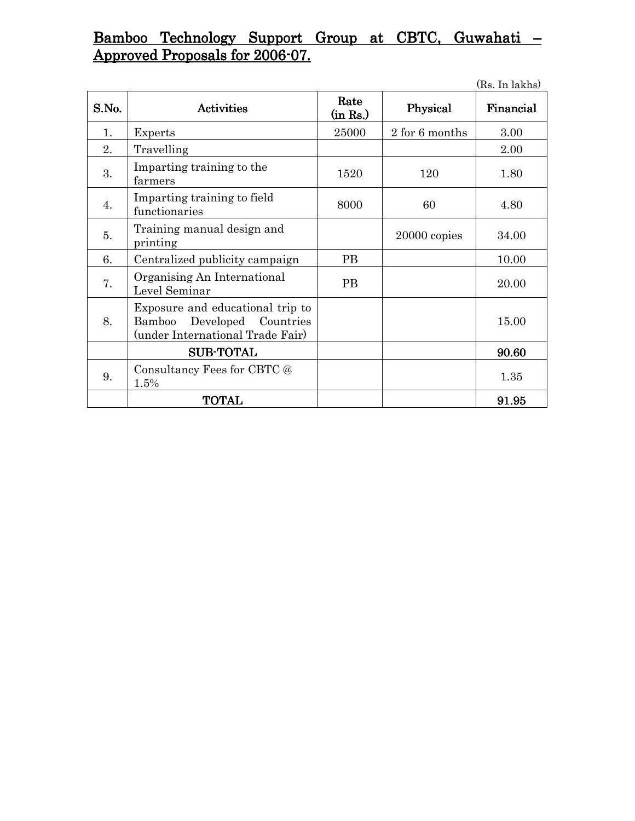# Bamboo Technology Support Group at CBTC, Guwahati – Approved Proposals for 2006-07.

|       |                                                                                                       |                  |                | (Rs. In lakhs) |
|-------|-------------------------------------------------------------------------------------------------------|------------------|----------------|----------------|
| S.No. | <b>Activities</b>                                                                                     | Rate<br>(in Rs.) | Physical       | Financial      |
| 1.    | Experts                                                                                               | 25000            | 2 for 6 months | 3.00           |
| 2.    | Travelling                                                                                            |                  |                | 2.00           |
| 3.    | Imparting training to the<br>farmers                                                                  | 1520             | 120            | 1.80           |
| 4.    | Imparting training to field<br>functionaries                                                          | 8000             | 60             | 4.80           |
| 5.    | Training manual design and<br>printing                                                                |                  | 20000 copies   | 34.00          |
| 6.    | Centralized publicity campaign                                                                        | <b>PB</b>        |                | 10.00          |
| 7.    | Organising An International<br>Level Seminar                                                          | <b>PB</b>        |                | 20.00          |
| 8.    | Exposure and educational trip to<br>Developed Countries<br>Bamboo<br>(under International Trade Fair) |                  |                | 15.00          |
|       | <b>SUB-TOTAL</b>                                                                                      |                  |                | 90.60          |
| 9.    | Consultancy Fees for CBTC @<br>1.5%                                                                   |                  |                | 1.35           |
|       | <b>TOTAL</b>                                                                                          |                  |                | 91.95          |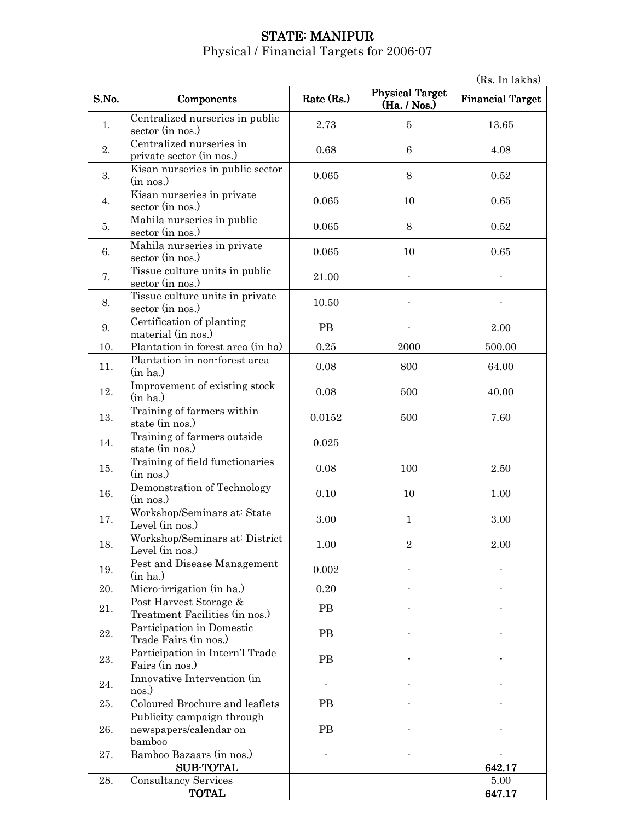# STATE: MANIPUR

Physical / Financial Targets for 2006-07

(Rs. In lakhs) S.No. Components Rate (Rs.) Physical Target  $(Ha. / Nos.)$ Financial Target 1. Centralized nurseries in public sector (in nos.)  $2.73$   $5$  13.65 2. Centralized nurseries in private sector (in nos.)  $0.68$  6 4.08 3. Kisan nurseries in public sector<br>(in nos.)  $\frac{1}{\sin \cos \theta}$  0.065 8 0.52 4. Kisan nurseries in private sector (in nos.) 0.065 10 0.065 10 0.65  $\overline{5}$ . Mahila nurseries in public  $\frac{1}{2}$   $\frac{1}{2}$   $\frac{1}{2}$   $\frac{1}{2}$   $\frac{1}{2}$   $\frac{1}{2}$   $\frac{1}{2}$   $\frac{1}{2}$   $\frac{1}{2}$   $\frac{1}{2}$   $\frac{1}{2}$   $\frac{1}{2}$   $\frac{1}{2}$   $\frac{1}{2}$   $\frac{1}{2}$   $\frac{1}{2}$   $\frac{1}{2}$   $\frac{1}{2}$   $\frac{1}{2}$   $\frac{1}{2}$   $\frac{1}{2}$   $\frac{1}{2}$  6. Mahila nurseries in private  $\frac{10}{3}$  sector (in nos.) 0.065 10 0.065 7. Tissue culture units in public sector (in nos.) 21.00  $8.$  Tissue culture units in private sector (in nos.) 10.50 - -  $\overline{9}$ . Certification of planting PB - 2.00<br>material (in nos.) PB - 2.00 10. Plantation in forest area (in ha) 0.25 2000 500.00 11. Plantation in non-forest area<br>(in ha.)  $\frac{1}{\ln \text{halo}}$  (in ha.)  $\frac{64.00}{\ln \text{halo}}$ 12. Improvement of existing stock<br>(in ha.)  $\frac{1}{2}$  (in ha.)  $\frac{1}{2}$  0.08  $\frac{500}{10}$  40.00 13. Training of farmers within  $\frac{1}{\text{stat}}$  of a state (in nos.)  $\frac{0.0152}{\text{stat}}$   $\frac{500}{\text{stat}}$  7.60 14. Training of farmers outside state (in nos.) 0.025 15.  $\boxed{\begin{array}{c} \text{Training of field functionaries} \\ \text{(in nos.)} \end{array}}$  $\frac{1}{2}$  (in nos.)  $\frac{1}{2}$  (in nos.)  $\frac{2.50}{2}$ 16. Demonstration of Technology 0.10 10 1.00 17. Workshop/Seminars at: State Norkshop/Seminars at State 3.00 1 3.00<br>Level (in nos.) 3.00 18. Workshop/Seminars at: District Level (in nos.) 1.00 2 2.00 19. **Pest and Disease Management** (in ha.)  $( \text{in ha.})$  0.002  $\qquad$  -  $\qquad$ 20. Micro-irrigation (in ha.)  $0.20$  -  $\qquad \qquad$ 21. **Post Harvest Storage &** Treatment Facilities (in nos.) PB - - 22. Participation in Domestic Trade Fairs (in nos.)<br>Trade Fairs (in nos.)  $\begin{array}{c|c}\n\text{23.} & \text{Participation in Intern'} \text{Trade}\n\end{array}$ Fairs (in nos.) Fairs (in nos.) 24. Innovative Intervention (in nos.)  $\sum_{n=1}^{\infty}$  -  $\sum_{n=1}^{\infty}$  -  $\sum_{n=1}^{\infty}$  -  $\sum_{n=1}^{\infty}$  -  $\sum_{n=1}^{\infty}$  -  $\sum_{n=1}^{\infty}$  -  $\sum_{n=1}^{\infty}$  -  $\sum_{n=1}^{\infty}$  -  $\sum_{n=1}^{\infty}$  -  $\sum_{n=1}^{\infty}$  -  $\sum_{n=1}^{\infty}$  -  $\sum_{n=1}^{\infty}$  -  $\sum_{n=1}^{\infty}$  - 25. Coloured Brochure and leaflets PB - - 26. Publicity campaign through newspapers/calendar on bamboo PB | - | -27. Bamboo Bazaars (in nos.) and the set of the Bamboo Bazaars (in nos.) SUB-TOTAL 642.17 28. Consultancy Services 5.00

TOTAL 647.17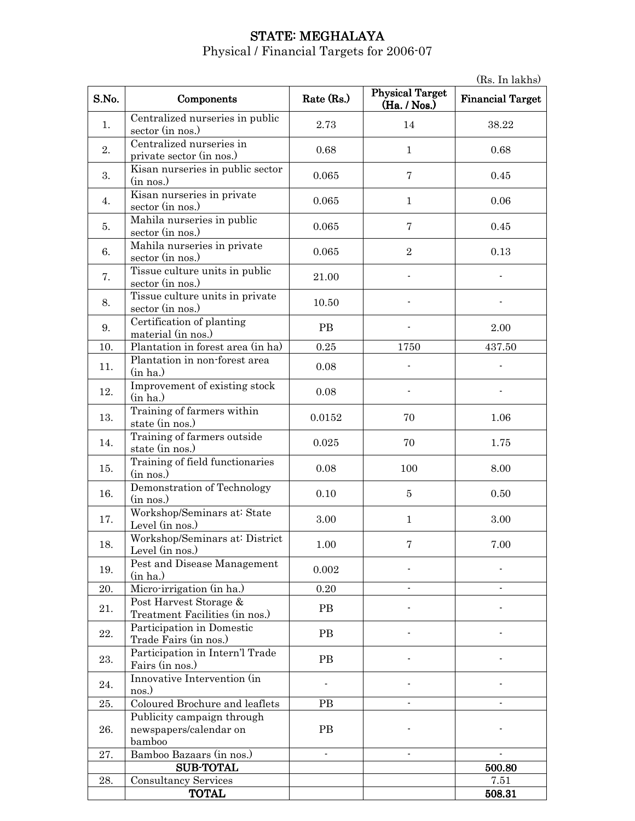## STATE: MEGHALAYA

Physical / Financial Targets for 2006-07

(Rs. In lakhs) S.No. Components Rate (Rs.) Physical Target  $(Ha. / Nos.)$ Financial Target 1. Centralized nurseries in public sector (in nos.)  $2.73$  14 38.22 2. Centralized nurseries in private sector (in nos.) 0.68 1 0.68 0.68 3. Kisan nurseries in public sector<br>(in nos.)  $\frac{1}{\sin \cos \theta}$  m and  $\frac{1}{\sin \cos \theta}$  and  $\frac{1}{\cos \theta}$  become  $\frac{1}{\cos \theta}$  become  $\frac{1}{\cos \theta}$  become  $\frac{1}{\cos \theta}$  become  $\frac{1}{\cos \theta}$  become  $\frac{1}{\cos \theta}$  become  $\frac{1}{\cos \theta}$  become  $\frac{1}{\cos \theta}$  become  $\frac{1}{\cos \theta}$  become 4. Kisan nurseries in private sector (in nos.) 0.065 1 0.066  $\overline{5}$ . Mahila nurseries in public  $\frac{1}{2}$  sector (in nos.) 0.065 7 0.45 6. Mahila nurseries in private Manua nurseries in private<br>sector (in nos.) 0.065 2 0.13 7. Tissue culture units in public sector (in nos.) 21.00 8. Tissue culture units in private sector (in nos.) 10.50 - -  $\overline{9}$ . Certification of planting PB - 2.00<br>material (in nos.) PB - 2.00 10. Plantation in forest area (in ha) 0.25 1750 437.50 11. Plantation in non-forest area<br>(in ha.)  $\frac{1}{\ln \text{ha.}}$  (in ha.) 12. Improvement of existing stock<br>(in ha.)  $(n \text{ had})$  0.08  $(n \text{ had})$  -13. Training of farmers within state (in nos.) 1.06 14. Training of farmers outside state (in nos.) 0.025 70 1.75 15.  $\boxed{\begin{array}{c} \text{Training of field functionaries} \\ \text{(in nos.)} \end{array}}$  $\frac{1}{2}$  (in nos.)  $\frac{1}{2}$  (in nos.)  $\frac{1}{2}$  (in nos.)  $\frac{1}{2}$  (in nos.) 16. Demonstration of Technology 0.10 5 0.50 17. Workshop/Seminars at: State WORKSHOP/Seminars at State<br>Level (in nos.) 3.00 1 3.00 18. Workshop/Seminars at: District WORKSHOP/Seminars at District 1.00 7 7.00<br>Level (in nos.) 2.00 19. **Pest and Disease Management** (in ha.)  $( \text{in ha.})$  0.002  $\qquad$  -  $\qquad$ 20. Micro-irrigation (in ha.)  $0.20$  -  $\qquad \qquad$ 21. Post Harvest Storage & Treatment Facilities (in nos.) PB - - 22. Participation in Domestic Trade Fairs (in nos.)<br>Trade Fairs (in nos.)  $\begin{array}{c|c}\n\text{23.} & \text{Participation in Intern'} \text{Trade}\n\end{array}$ Fairs (in nos.) Fairs (in nos.) 24. Innovative Intervention (in nos.)  $\sum_{n=1}^{\infty}$  -  $\sum_{n=1}^{\infty}$  -  $\sum_{n=1}^{\infty}$  -  $\sum_{n=1}^{\infty}$  -  $\sum_{n=1}^{\infty}$  -  $\sum_{n=1}^{\infty}$  -  $\sum_{n=1}^{\infty}$  -  $\sum_{n=1}^{\infty}$  -  $\sum_{n=1}^{\infty}$  -  $\sum_{n=1}^{\infty}$  -  $\sum_{n=1}^{\infty}$  -  $\sum_{n=1}^{\infty}$  -  $\sum_{n=1}^{\infty}$  - 25. Coloured Brochure and leaflets PB - - 26. Publicity campaign through newspapers/calendar on bamboo PB | - | -27. Bamboo Bazaars (in nos.) and the set of the Bamboo Bazaars (in nos.) SUB-TOTAL  $\qquad \qquad \begin{array}{c|c} \text{SUB-TOTAL} & \text{S} & \text{S} \\ \text{SUB-TOTAL} & \text{S} & \text{S} \\ \end{array}$ 28. Consultancy Services 1. 2.51 TOTAL 508.31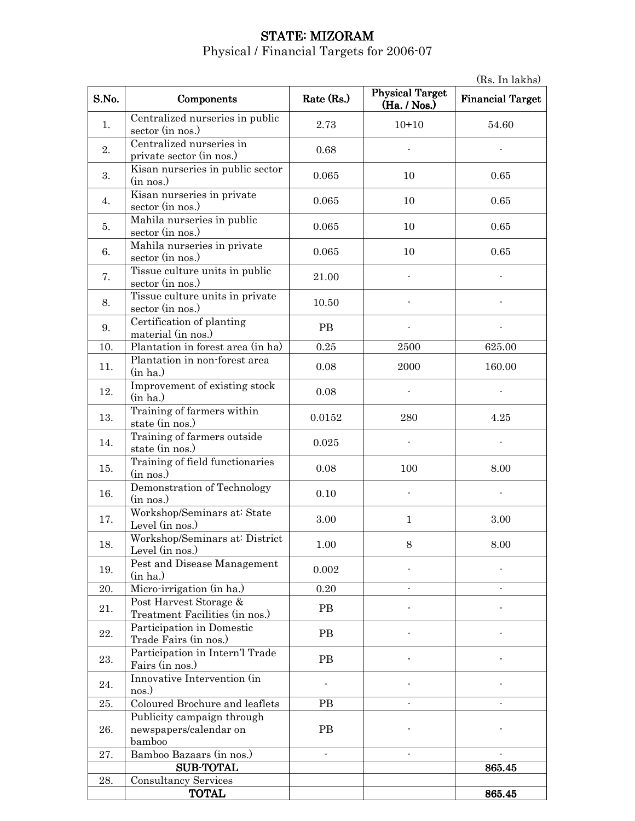# STATE: MIZORAM

|       | (Rs. In lakhs)                                                 |            |                                        |                         |  |
|-------|----------------------------------------------------------------|------------|----------------------------------------|-------------------------|--|
| S.No. | Components                                                     | Rate (Rs.) | <b>Physical Target</b><br>(Ha. / Nos.) | <b>Financial Target</b> |  |
| 1.    | Centralized nurseries in public<br>sector (in nos.)            | 2.73       | $10+10$                                | 54.60                   |  |
| 2.    | Centralized nurseries in<br>private sector (in nos.)           | 0.68       |                                        |                         |  |
| 3.    | Kisan nurseries in public sector<br>(in nos.)                  | 0.065      | 10                                     | 0.65                    |  |
| 4.    | Kisan nurseries in private<br>sector (in nos.)                 | 0.065      | 10                                     | 0.65                    |  |
| 5.    | Mahila nurseries in public<br>sector (in nos.)                 | 0.065      | 10                                     | 0.65                    |  |
| 6.    | Mahila nurseries in private<br>sector (in nos.)                | 0.065      | 10                                     | 0.65                    |  |
| 7.    | Tissue culture units in public<br>sector (in nos.)             | 21.00      |                                        |                         |  |
| 8.    | Tissue culture units in private<br>sector (in nos.)            | 10.50      |                                        |                         |  |
| 9.    | Certification of planting<br>material (in nos.)                | <b>PB</b>  |                                        |                         |  |
| 10.   | Plantation in forest area (in ha)                              | 0.25       | 2500                                   | 625.00                  |  |
| 11.   | Plantation in non-forest area<br>(in ha.)                      | 0.08       | 2000                                   | 160.00                  |  |
| 12.   | Improvement of existing stock<br>(in ha.)                      | 0.08       |                                        |                         |  |
| 13.   | Training of farmers within<br>state (in nos.)                  | 0.0152     | 280                                    | 4.25                    |  |
| 14.   | Training of farmers outside<br>state (in nos.)                 | 0.025      |                                        |                         |  |
| 15.   | Training of field functionaries<br>(in nos.)                   | 0.08       | 100                                    | 8.00                    |  |
| 16.   | Demonstration of Technology<br>(in nos.)                       | 0.10       |                                        |                         |  |
| 17.   | Workshop/Seminars at: State<br>Level (in nos.)                 | 3.00       | $\mathbf{1}$                           | 3.00                    |  |
| 18.   | Workshop/Seminars at: District<br>Level (in nos.)              | 1.00       | 8                                      | 8.00                    |  |
| 19.   | Pest and Disease Management<br>(in ha.)                        | 0.002      |                                        |                         |  |
| 20.   | Micro-irrigation (in ha.)                                      | 0.20       | $\overline{\phantom{a}}$               |                         |  |
| 21.   | Post Harvest Storage &<br>Treatment Facilities (in nos.)       | PB         |                                        |                         |  |
| 22.   | Participation in Domestic<br>Trade Fairs (in nos.)             | <b>PB</b>  |                                        |                         |  |
| 23.   | Participation in Intern'l Trade<br>Fairs (in nos.)             | PB         |                                        |                         |  |
| 24.   | Innovative Intervention (in<br>nos.)                           |            |                                        |                         |  |
| 25.   | Coloured Brochure and leaflets                                 | <b>PB</b>  |                                        |                         |  |
| 26.   | Publicity campaign through<br>newspapers/calendar on<br>bamboo | <b>PB</b>  |                                        |                         |  |
| 27.   | Bamboo Bazaars (in nos.)                                       |            |                                        |                         |  |
|       | <b>SUB-TOTAL</b>                                               |            |                                        | 865.45                  |  |
| 28.   | <b>Consultancy Services</b>                                    |            |                                        |                         |  |
|       | <b>TOTAL</b>                                                   |            |                                        | 865.45                  |  |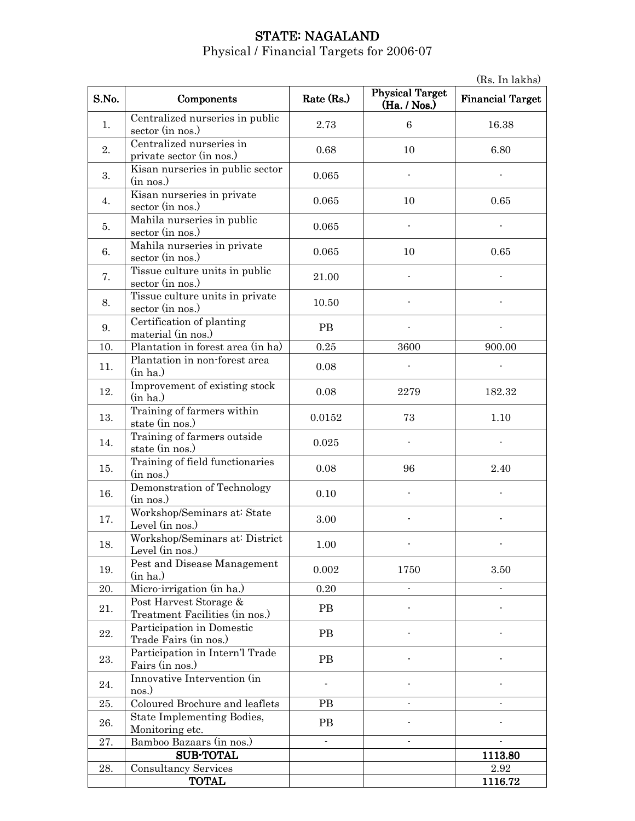# STATE: NAGALAND

|       | (Rs. In lakhs)                                           |            |                                        |                         |
|-------|----------------------------------------------------------|------------|----------------------------------------|-------------------------|
| S.No. | Components                                               | Rate (Rs.) | <b>Physical Target</b><br>(Ha. / Nos.) | <b>Financial Target</b> |
| 1.    | Centralized nurseries in public<br>sector (in nos.)      | 2.73       | 6                                      | 16.38                   |
| 2.    | Centralized nurseries in<br>private sector (in nos.)     | 0.68       | 10                                     | 6.80                    |
| 3.    | Kisan nurseries in public sector<br>(in nos.)            | 0.065      |                                        |                         |
| 4.    | Kisan nurseries in private<br>sector (in nos.)           | 0.065      | 10                                     | 0.65                    |
| 5.    | Mahila nurseries in public<br>sector (in nos.)           | 0.065      |                                        |                         |
| 6.    | Mahila nurseries in private<br>sector (in nos.)          | 0.065      | 10                                     | 0.65                    |
| 7.    | Tissue culture units in public<br>sector (in nos.)       | 21.00      |                                        |                         |
| 8.    | Tissue culture units in private<br>sector (in nos.)      | 10.50      |                                        |                         |
| 9.    | Certification of planting<br>material (in nos.)          | <b>PB</b>  |                                        |                         |
| 10.   | Plantation in forest area (in ha)                        | 0.25       | 3600                                   | 900.00                  |
| 11.   | Plantation in non-forest area<br>(in ha.)                | 0.08       |                                        |                         |
| 12.   | Improvement of existing stock<br>(in ha.)                | 0.08       | 2279                                   | 182.32                  |
| 13.   | Training of farmers within<br>state (in nos.)            | 0.0152     | 73                                     | 1.10                    |
| 14.   | Training of farmers outside<br>state (in nos.)           | 0.025      |                                        |                         |
| 15.   | Training of field functionaries<br>(in nos.)             | 0.08       | 96                                     | 2.40                    |
| 16.   | Demonstration of Technology<br>(in nos.)                 | 0.10       |                                        |                         |
| 17.   | Workshop/Seminars at: State<br>Level (in nos.)           | 3.00       |                                        |                         |
| 18.   | Workshop/Seminars at: District<br>Level (in nos.)        | 1.00       |                                        |                         |
| 19.   | Pest and Disease Management<br>(in ha.)                  | 0.002      | 1750                                   | 3.50                    |
| 20.   | Micro-irrigation (in ha.)                                | 0.20       |                                        | $\blacksquare$          |
| 21.   | Post Harvest Storage &<br>Treatment Facilities (in nos.) | PB         |                                        |                         |
| 22.   | Participation in Domestic<br>Trade Fairs (in nos.)       | PB         |                                        |                         |
| 23.   | Participation in Intern'l Trade<br>Fairs (in nos.)       | PB         |                                        |                         |
| 24.   | Innovative Intervention (in<br>nos.)                     |            |                                        |                         |
| 25.   | Coloured Brochure and leaflets                           | <b>PB</b>  |                                        |                         |
| 26.   | State Implementing Bodies,<br>Monitoring etc.            | PB         |                                        |                         |
| 27.   | Bamboo Bazaars (in nos.)                                 |            |                                        |                         |
|       | <b>SUB-TOTAL</b>                                         |            |                                        | 1113.80                 |
| 28.   | <b>Consultancy Services</b>                              |            |                                        | 2.92                    |
|       | TOTAL                                                    |            |                                        | 1116.72                 |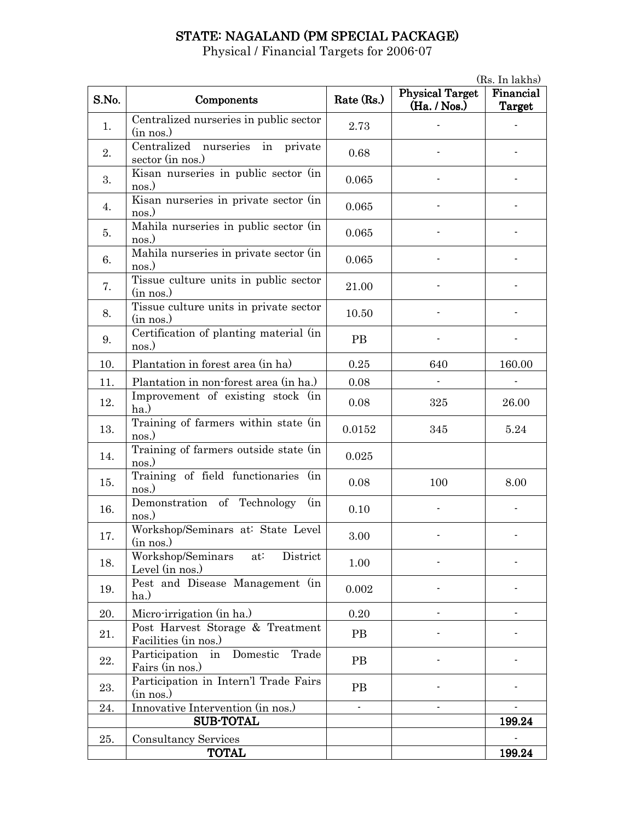# STATE: NAGALAND (PM SPECIAL PACKAGE)

|       | (Rs. In lakhs)                                           |            |                                        |                            |  |
|-------|----------------------------------------------------------|------------|----------------------------------------|----------------------------|--|
| S.No. | Components                                               | Rate (Rs.) | <b>Physical Target</b><br>(Ha. / Nos.) | Financial<br><b>Target</b> |  |
| 1.    | Centralized nurseries in public sector<br>(in nos.)      | 2.73       |                                        |                            |  |
| 2.    | Centralized nurseries in private<br>sector (in nos.)     | 0.68       |                                        |                            |  |
| 3.    | Kisan nurseries in public sector (in<br>nos.)            | 0.065      |                                        |                            |  |
| 4.    | Kisan nurseries in private sector (in<br>nos.)           | 0.065      |                                        |                            |  |
| 5.    | Mahila nurseries in public sector (in<br>nos.)           | 0.065      |                                        |                            |  |
| 6.    | Mahila nurseries in private sector (in<br>nos.)          | 0.065      |                                        |                            |  |
| 7.    | Tissue culture units in public sector<br>(in nos.)       | 21.00      |                                        |                            |  |
| 8.    | Tissue culture units in private sector<br>(in nos.)      | 10.50      |                                        |                            |  |
| 9.    | Certification of planting material (in<br>nos.)          | <b>PB</b>  |                                        |                            |  |
| 10.   | Plantation in forest area (in ha)                        | 0.25       | 640                                    | 160.00                     |  |
| 11.   | Plantation in non-forest area (in ha.)                   | 0.08       |                                        |                            |  |
| 12.   | Improvement of existing stock (in<br>ha.)                | 0.08       | 325                                    | 26.00                      |  |
| 13.   | Training of farmers within state (in<br>nos.)            | 0.0152     | 345                                    | 5.24                       |  |
| 14.   | Training of farmers outside state (in<br>nos.)           | 0.025      |                                        |                            |  |
| 15.   | Training of field functionaries (in<br>nos.)             | 0.08       | 100                                    | 8.00                       |  |
| 16.   | Demonstration of Technology<br>(in<br>nos.)              | 0.10       |                                        |                            |  |
| 17.   | Workshop/Seminars at: State Level<br>(in nos.)           | 3.00       |                                        |                            |  |
| 18.   | Workshop/Seminars<br>District<br>at:<br>Level (in nos.)  | 1.00       |                                        |                            |  |
| 19.   | Pest and Disease Management (in<br>$ha.$ )               | 0.002      |                                        |                            |  |
| 20.   | Micro-irrigation (in ha.)                                | 0.20       |                                        |                            |  |
| 21.   | Post Harvest Storage & Treatment<br>Facilities (in nos.) | <b>PB</b>  |                                        |                            |  |
| 22.   | Participation in Domestic<br>Trade<br>Fairs (in nos.)    | PB         |                                        |                            |  |
| 23.   | Participation in Intern'l Trade Fairs<br>(in nos.)       | PB         |                                        |                            |  |
| 24.   | Innovative Intervention (in nos.)                        | ÷,         |                                        |                            |  |
|       | <b>SUB-TOTAL</b>                                         |            |                                        | 199.24                     |  |
| 25.   | <b>Consultancy Services</b>                              |            |                                        |                            |  |
|       | <b>TOTAL</b>                                             |            |                                        | 199.24                     |  |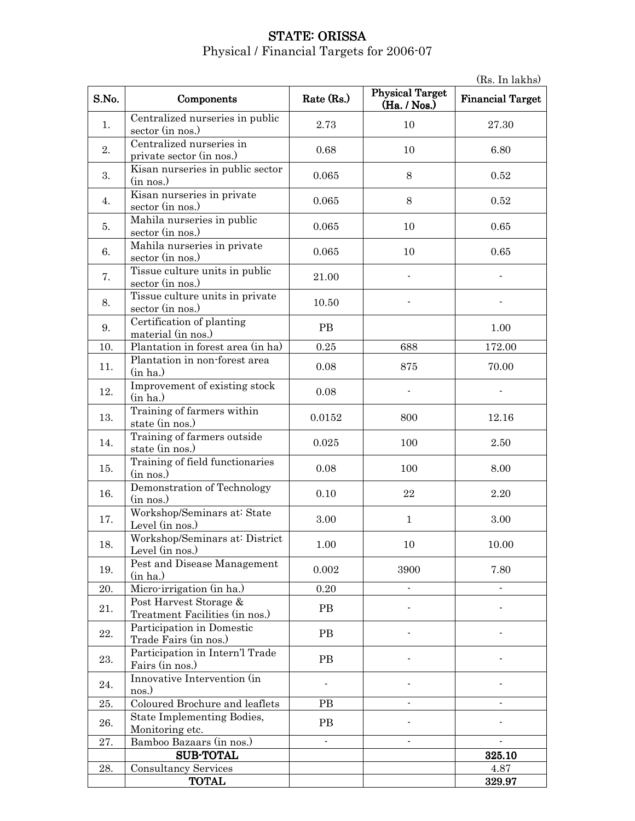# STATE: ORISSA Physical / Financial Targets for 2006-07

|       | (Rs. In lakhs)                                           |                |                                        |                           |
|-------|----------------------------------------------------------|----------------|----------------------------------------|---------------------------|
| S.No. | Components                                               | Rate (Rs.)     | <b>Physical Target</b><br>(Ha. / Nos.) | <b>Financial Target</b>   |
| 1.    | Centralized nurseries in public<br>sector (in nos.)      | 2.73           | 10                                     | 27.30                     |
| 2.    | Centralized nurseries in<br>private sector (in nos.)     | 0.68           | 10                                     | 6.80                      |
| 3.    | Kisan nurseries in public sector<br>(in nos.)            | $\,0.065\,$    | 8                                      | 0.52                      |
| 4.    | Kisan nurseries in private<br>sector (in nos.)           | 0.065          | 8                                      | 0.52                      |
| 5.    | Mahila nurseries in public<br>sector (in nos.)           | 0.065          | 10                                     | 0.65                      |
| 6.    | Mahila nurseries in private<br>sector (in nos.)          | 0.065          | 10                                     | 0.65                      |
| 7.    | Tissue culture units in public<br>sector (in nos.)       | 21.00          |                                        |                           |
| 8.    | Tissue culture units in private<br>sector (in nos.)      | 10.50          |                                        |                           |
| 9.    | Certification of planting<br>material (in nos.)          | <b>PB</b>      |                                        | 1.00                      |
| 10.   | Plantation in forest area (in ha)                        | 0.25           | 688                                    | 172.00                    |
| 11.   | Plantation in non-forest area<br>(in ha.)                | 0.08           | 875                                    | 70.00                     |
| 12.   | Improvement of existing stock<br>(in ha.)                | 0.08           |                                        |                           |
| 13.   | Training of farmers within<br>state (in nos.)            | 0.0152         | 800                                    | 12.16                     |
| 14.   | Training of farmers outside<br>state (in nos.)           | 0.025          | 100                                    | 2.50                      |
| 15.   | Training of field functionaries<br>(in nos.)             | 0.08           | 100                                    | 8.00                      |
| 16.   | Demonstration of Technology<br>(in nos.)                 | 0.10           | 22                                     | 2.20                      |
| 17.   | Workshop/Seminars at: State<br>Level (in nos.)           | 3.00           | $\mathbf{1}$                           | 3.00                      |
| 18.   | Workshop/Seminars at: District<br>Level (in nos.)        | 1.00           | 10                                     | 10.00                     |
| 19.   | Pest and Disease Management<br>(in ha.)                  | 0.002          | 3900                                   | 7.80                      |
| 20.   | Micro-irrigation (in ha.)                                | 0.20           |                                        |                           |
| 21.   | Post Harvest Storage &<br>Treatment Facilities (in nos.) | <b>PB</b>      |                                        |                           |
| 22.   | Participation in Domestic<br>Trade Fairs (in nos.)       | PB             |                                        |                           |
| 23.   | Participation in Intern'l Trade<br>Fairs (in nos.)       | <b>PB</b>      |                                        |                           |
| 24.   | Innovative Intervention (in<br>nos.)                     |                |                                        |                           |
| 25.   | Coloured Brochure and leaflets                           | <b>PB</b>      |                                        |                           |
| 26.   | State Implementing Bodies,<br>Monitoring etc.            | PB             |                                        |                           |
| 27.   | Bamboo Bazaars (in nos.)                                 | $\overline{a}$ | L.                                     | $\mathbb{Z}^{\mathbb{Z}}$ |
|       | <b>SUB-TOTAL</b>                                         |                |                                        | 325.10                    |
| 28.   | <b>Consultancy Services</b>                              |                |                                        | 4.87                      |
|       | <b>TOTAL</b>                                             |                |                                        | 329.97                    |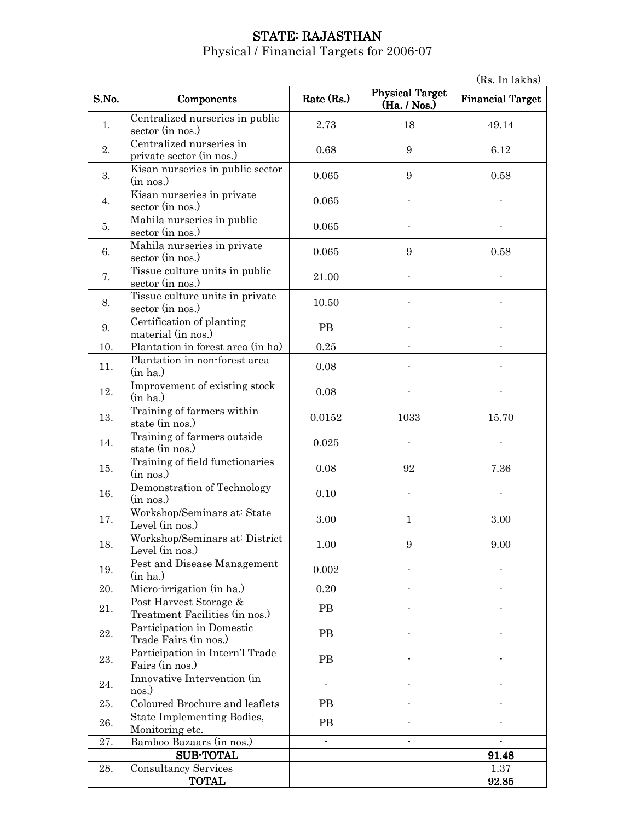# STATE: RAJASTHAN

|       | (Rs. In lakhs)                                           |            |                                        |                         |
|-------|----------------------------------------------------------|------------|----------------------------------------|-------------------------|
| S.No. | Components                                               | Rate (Rs.) | <b>Physical Target</b><br>(Ha. / Nos.) | <b>Financial Target</b> |
| 1.    | Centralized nurseries in public<br>sector (in nos.)      | 2.73       | 18                                     | 49.14                   |
| 2.    | Centralized nurseries in<br>private sector (in nos.)     | 0.68       | 9                                      | 6.12                    |
| 3.    | Kisan nurseries in public sector<br>(in nos.)            | 0.065      | 9                                      | 0.58                    |
| 4.    | Kisan nurseries in private<br>sector (in nos.)           | 0.065      |                                        |                         |
| 5.    | Mahila nurseries in public<br>sector (in nos.)           | 0.065      |                                        |                         |
| 6.    | Mahila nurseries in private<br>sector (in nos.)          | 0.065      | 9                                      | 0.58                    |
| 7.    | Tissue culture units in public<br>sector (in nos.)       | 21.00      |                                        |                         |
| 8.    | Tissue culture units in private<br>sector (in nos.)      | 10.50      |                                        |                         |
| 9.    | Certification of planting<br>material (in nos.)          | <b>PB</b>  |                                        |                         |
| 10.   | Plantation in forest area (in ha)                        | 0.25       | $\overline{a}$                         |                         |
| 11.   | Plantation in non-forest area<br>(in ha.)                | 0.08       |                                        |                         |
| 12.   | Improvement of existing stock<br>(in ha.)                | 0.08       |                                        |                         |
| 13.   | Training of farmers within<br>state (in nos.)            | 0.0152     | 1033                                   | 15.70                   |
| 14.   | Training of farmers outside<br>state (in nos.)           | 0.025      |                                        |                         |
| 15.   | Training of field functionaries<br>(in nos.)             | 0.08       | 92                                     | 7.36                    |
| 16.   | Demonstration of Technology<br>(in nos.)                 | 0.10       |                                        |                         |
| 17.   | Workshop/Seminars at: State<br>Level (in nos.)           | 3.00       | $\mathbf{1}$                           | 3.00                    |
| 18.   | Workshop/Seminars at: District<br>Level (in nos.)        | 1.00       | 9                                      | 9.00                    |
| 19.   | Pest and Disease Management<br>(in ha.)                  | 0.002      |                                        |                         |
| 20.   | Micro-irrigation (in ha.)                                | 0.20       |                                        |                         |
| 21.   | Post Harvest Storage &<br>Treatment Facilities (in nos.) | <b>PB</b>  |                                        |                         |
| 22.   | Participation in Domestic<br>Trade Fairs (in nos.)       | <b>PB</b>  |                                        |                         |
| 23.   | Participation in Intern'l Trade<br>Fairs (in nos.)       | <b>PB</b>  |                                        |                         |
| 24.   | Innovative Intervention (in<br>nos.)                     |            |                                        |                         |
| 25.   | Coloured Brochure and leaflets                           | <b>PB</b>  |                                        |                         |
| 26.   | State Implementing Bodies,<br>Monitoring etc.            | <b>PB</b>  |                                        |                         |
| 27.   | Bamboo Bazaars (in nos.)                                 |            |                                        |                         |
|       | <b>SUB-TOTAL</b>                                         |            |                                        | 91.48                   |
| 28.   | <b>Consultancy Services</b>                              |            |                                        | 1.37                    |
|       | <b>TOTAL</b>                                             |            |                                        | 92.85                   |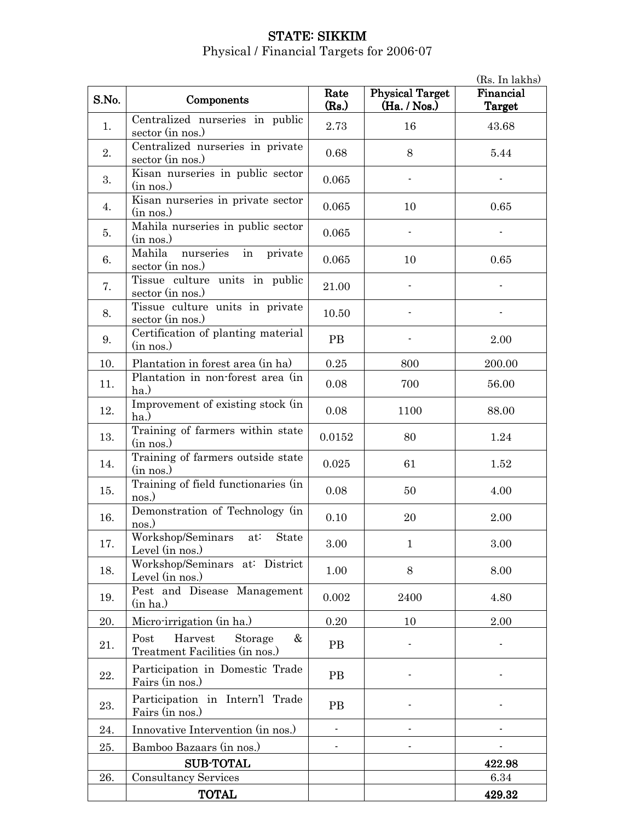# STATE: SIKKIM Physical / Financial Targets for 2006-07

|       | (Rs. In lakhs)                                                    |               |                                        |                     |  |
|-------|-------------------------------------------------------------------|---------------|----------------------------------------|---------------------|--|
| S.No. | Components                                                        | Rate<br>(Rs.) | <b>Physical Target</b><br>(Ha. / Nos.) | Financial<br>Target |  |
| 1.    | Centralized nurseries in public<br>sector (in nos.)               | 2.73          | 16                                     | 43.68               |  |
| 2.    | Centralized nurseries in private<br>sector (in nos.)              | 0.68          | 8                                      | 5.44                |  |
| 3.    | Kisan nurseries in public sector<br>(in nos.)                     | 0.065         |                                        |                     |  |
| 4.    | Kisan nurseries in private sector<br>(in nos.)                    | 0.065         | 10                                     | 0.65                |  |
| 5.    | Mahila nurseries in public sector<br>(in nos.)                    | 0.065         |                                        |                     |  |
| 6.    | Mahila nurseries in private<br>sector (in nos.)                   | 0.065         | 10                                     | 0.65                |  |
| 7.    | Tissue culture units in public<br>sector (in nos.)                | 21.00         |                                        |                     |  |
| 8.    | Tissue culture units in private<br>sector (in nos.)               | 10.50         |                                        |                     |  |
| 9.    | Certification of planting material<br>(in nos.)                   | PB            |                                        | 2.00                |  |
| 10.   | Plantation in forest area (in ha)                                 | $0.25\,$      | 800                                    | 200.00              |  |
| 11.   | Plantation in non-forest area (in<br>ha.)                         | 0.08          | 700                                    | 56.00               |  |
| 12.   | Improvement of existing stock (in<br>ha.)                         | 0.08          | 1100                                   | 88.00               |  |
| 13.   | Training of farmers within state<br>(in nos.)                     | 0.0152        | 80                                     | 1.24                |  |
| 14.   | Training of farmers outside state<br>(in nos.)                    | 0.025         | 61                                     | 1.52                |  |
| 15.   | Training of field functionaries (in<br>nos.)                      | 0.08          | 50                                     | 4.00                |  |
| 16.   | Demonstration of Technology (in<br>nos.)                          | 0.10          | 20                                     | 2.00                |  |
| 17.   | Workshop/Seminars at: State<br>Level (in nos.)                    | 3.00          | 1                                      | 3.00                |  |
| 18.   | Workshop/Seminars at: District<br>Level (in nos.)                 | 1.00          | 8                                      | 8.00                |  |
| 19.   | Pest and Disease Management<br>(in ha.)                           | 0.002         | 2400                                   | 4.80                |  |
| 20.   | Micro-irrigation (in ha.)                                         | 0.20          | 10                                     | 2.00                |  |
| 21.   | Harvest<br>Post<br>Storage<br>&<br>Treatment Facilities (in nos.) | PB            |                                        |                     |  |
| 22.   | Participation in Domestic Trade<br>Fairs (in nos.)                | PB            |                                        |                     |  |
| 23.   | Participation in Intern'l Trade<br>Fairs (in nos.)                | $\rm{PB}$     |                                        |                     |  |
| 24.   | Innovative Intervention (in nos.)                                 |               |                                        |                     |  |
| 25.   | Bamboo Bazaars (in nos.)                                          |               |                                        |                     |  |
|       | <b>SUB-TOTAL</b>                                                  |               |                                        | 422.98              |  |
| 26.   | <b>Consultancy Services</b>                                       |               |                                        | 6.34                |  |
|       | <b>TOTAL</b>                                                      |               |                                        | 429.32              |  |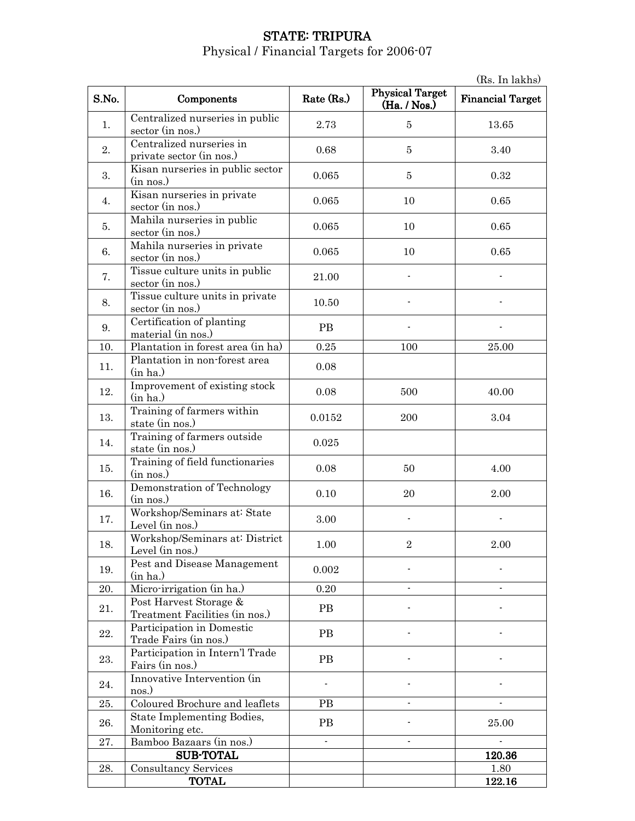#### STATE: TRIPURA Physical / Financial Targets for 2006-07

(Rs. In lakhs) S.No. Components Rate (Rs.) Physical Target  $(Ha. / Nos.)$ Financial Target 1. Centralized nurseries in public sector (in nos.)  $2.73$   $5$  13.65 2. Centralized nurseries in private sector (in nos.) 0.68 5 3.40 3. Kisan nurseries in public sector<br>(in nos.)  $\frac{1}{\sin \cos \theta}$  1.5 0.32 (in nos.) 0.065 0.32 4. Kisan nurseries in private sector (in nos.) 0.065 10 0.65  $\overline{5}$ . Mahila nurseries in public sector (in nos.)  $0.065$  10 0.65 6. Mahila nurseries in private  $\frac{10}{3}$  sector (in nos.) 0.065 10 0.065 7. Tissue culture units in public sector (in nos.) 21.00 8. Tissue culture units in private sector (in nos.) 10.50 - -  $\overline{9}$ . Certification of planting material (in nos.) PB - - 10. Plantation in forest area  $\langle \text{in ha} \rangle$   $\vert$  0.25  $\vert$  100  $\vert$  25.00 11. Plantation in non-forest area <br>
(in ha.) 0.08 12. Improvement of existing stock<br>(in ha.)  $\frac{1}{2}$  (in ha.)  $\frac{1}{2}$  0.08  $\frac{500}{10}$  40.00 13. Training of farmers within state (in nos.) 17aining of tarmers within  $0.0152$  200 3.04 14. Training of farmers outside state (in nos.) 0.025 15.  $\boxed{\begin{array}{c} \text{Training of field functionaries} \\ \text{(in nos.)} \end{array}}$  $\frac{1}{2}$  (in nos.)  $\frac{1}{2}$  (in nos.)  $\frac{1}{2}$  (in nos.)  $\frac{1}{2}$  (in nos.)  $\frac{1}{2}$  (in nos.) 16. Demonstration of Technology 0.10 20 2.00 17. Workshop/Seminars at: State Level (in nos.) 3.00 - - 18. Workshop/Seminars at: District Level (in nos.) 1.00 2 2.00 19. **Pest and Disease Management** (in ha.)  $( \text{in ha.})$  0.002  $\qquad$  -  $\qquad$ 20. Micro-irrigation (in ha.)  $0.20$  -  $\qquad \qquad$ 21. **Post Harvest Storage &** Treatment Facilities (in nos.) PB - - 22. Participation in Domestic Trade Fairs (in nos.)<br>Trade Fairs (in nos.)  $\begin{array}{c|c}\n\text{23.} & \text{Participation in Intern'} \text{Trade}\n\end{array}$ Fairs (in nos.) Fairs (in nos.) 24. Innovative Intervention (in nos.)  $\sum_{n=1}^{\infty}$  -  $\sum_{n=1}^{\infty}$  -  $\sum_{n=1}^{\infty}$  -  $\sum_{n=1}^{\infty}$  -  $\sum_{n=1}^{\infty}$  -  $\sum_{n=1}^{\infty}$  -  $\sum_{n=1}^{\infty}$  -  $\sum_{n=1}^{\infty}$  -  $\sum_{n=1}^{\infty}$  -  $\sum_{n=1}^{\infty}$  -  $\sum_{n=1}^{\infty}$  -  $\sum_{n=1}^{\infty}$  -  $\sum_{n=1}^{\infty}$  - 25. Coloured Brochure and leaflets PB - - 26. State Implementing Bodies, Monitoring etc. PB PB 25.00 27. Bamboo Bazaars (in nos.) and the set of the set of the set of the set of the set of the set of the set of the set of the set of the set of the set of the set of the set of the set of the set of the set of the set of th SUB-TOTAL 120.36 28. Consultancy Services and the services of the services of the services of the services of the services of the services of the services of the services of the services of the services of the services of the services of t TOTAL 122.16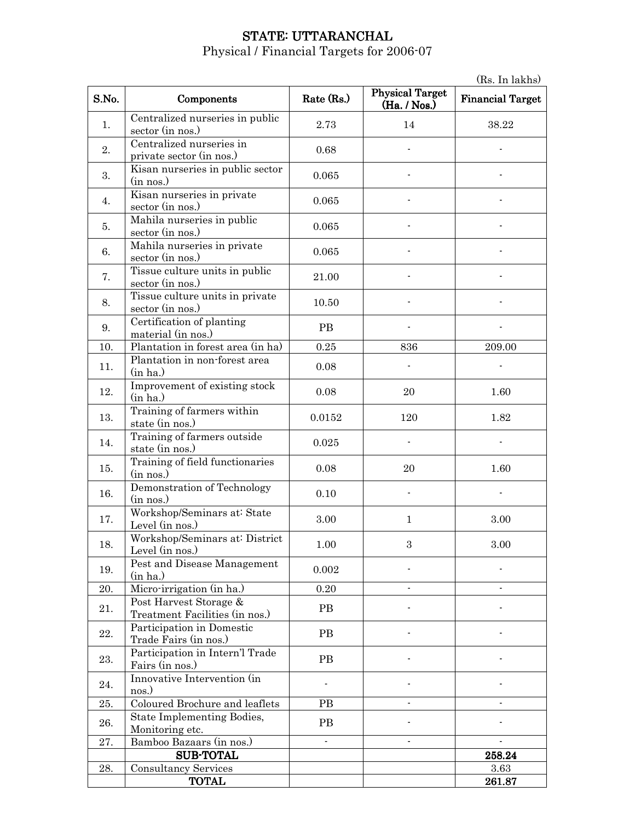## STATE: UTTARANCHAL

Physical / Financial Targets for 2006-07

(Rs. In lakhs) S.No. Components Rate (Rs.) Physical Target  $(Ha. / Nos.)$ Financial Target 1. Centralized nurseries in public sector (in nos.)  $2.73$  14 38.22 2. Centralized nurseries in  $\frac{1}{2}$  centralized nurseries in  $\frac{1}{2}$  0.68 3. Kisan nurseries in public sector<br>(in nos.)  $\frac{1}{\ln \text{nos.}}$  (in nos.) 4. Kisan nurseries in private Solution External Intervalse contract the contract of the contract of the contract of the contract of the contract of the contract of the contract of the contract of the contract of the contract of the contract of the cont  $\overline{5}$ . Mahila nurseries in public  $\frac{1}{2}$  sector (in nos.) 0.065 6. Mahila nurseries in private Manua nurseries in private<br>sector (in nos.) 7. Tissue culture units in public sector (in nos.) 21.00  $8.$  Tissue culture units in private sector (in nos.) 10.50 - -  $\overline{9}$ . Certification of planting material (in nos.) PB - - 10. Plantation in forest area  $(in ha)$   $(0.25$  836 209.00 11. Plantation in non-forest area<br>(in ha.)  $\frac{1}{\ln \text{ha.}}$  (in ha.) 12. Improvement of existing stock<br>(in ha.)  $\frac{1}{20}$  (in ha.)  $\frac{1.60}{20}$ 13. Training of farmers within state (in nos.) 1.82 14. Training of farmers outside state (in nos.) 178 a.m. in the contract of the state (in nos.) 15.  $\begin{bmatrix} \text{Training of field functionaries} \\ \text{(in nos.)} \end{bmatrix}$  $\frac{1}{20}$  (in nos.)  $\frac{1.60}{20}$  1.60 16. Demonstration of Technology (in nos.) 0.10 - - 17. Workshop/Seminars at: State WORKSHOP/Seminars at State<br>Level (in nos.) 3.00 1 3.00 18. Workshop/Seminars at: District Level (in nos.) 1.00 3 3.00 19. **Pest and Disease Management** (in ha.)  $( \text{in ha.})$  0.002  $\qquad$  -  $\qquad$ 20. Micro-irrigation (in ha.)  $0.20$  -  $\qquad \qquad$ 21. **Post Harvest Storage &** Treatment Facilities (in nos.) PB - - 22. Participation in Domestic Participation in Domestic Fairs (in nos.)  $\begin{array}{c|c}\n\text{23.} & \text{Participation in Intern'} \text{Trade}\n\end{array}$ Fairs (in nos.) Fairs (in nos.) 24. Innovative Intervention (in nos.)  $\sum_{n=1}^{\infty}$  -  $\sum_{n=1}^{\infty}$  -  $\sum_{n=1}^{\infty}$  -  $\sum_{n=1}^{\infty}$  -  $\sum_{n=1}^{\infty}$  -  $\sum_{n=1}^{\infty}$  -  $\sum_{n=1}^{\infty}$  -  $\sum_{n=1}^{\infty}$  -  $\sum_{n=1}^{\infty}$  -  $\sum_{n=1}^{\infty}$  -  $\sum_{n=1}^{\infty}$  -  $\sum_{n=1}^{\infty}$  -  $\sum_{n=1}^{\infty}$  - 25. Coloured Brochure and leaflets PB  $\vert$  -  $\vert$  -  $\vert$ 26. State Implementing Bodies, State Implementing Bodies,<br>
Monitoring etc.<br>
Bamboo Bazaars (in nos ) 27. Bamboo Bazaars (in nos.) and the set of the set of the set of the set of the set of the set of the set of the set of the set of the set of the set of the set of the set of the set of the set of the set of the set of th SUB-TOTAL 258.24 28. Consultancy Services and the services of the services of the services of the services of the services of the services of the services of the services of the services of the services of the services of the services of t

TOTAL 261.87